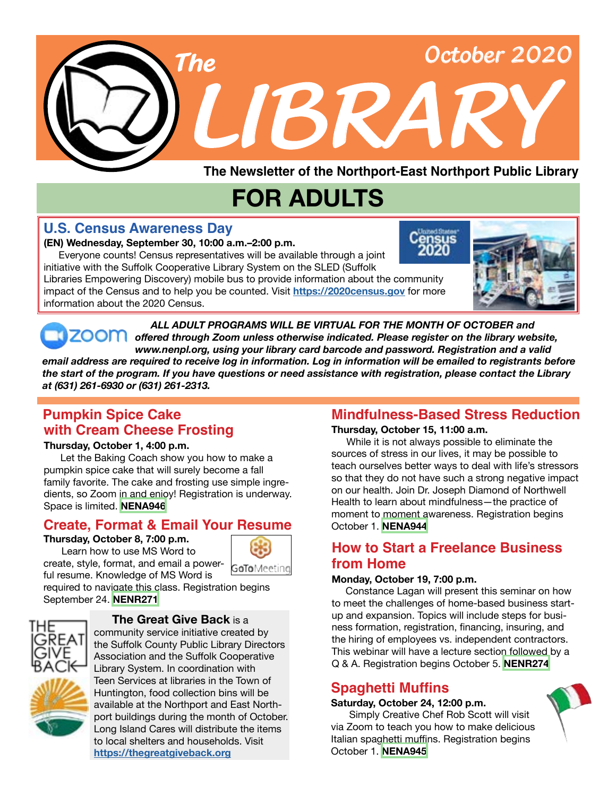

**The Newsletter of the Northport-East Northport Public Library**

## **FOR ADULTS**

## **U.S. Census Awareness Day**

#### **(EN) Wednesday, September 30, 10:00 a.m.–2:00 p.m.**

 Everyone counts! Census representatives will be available through a joint initiative with the Suffolk Cooperative Library System on the SLED (Suffolk

Libraries Empowering Discovery) mobile bus to provide information about the community impact of the Census and to help you be counted. Visit **<https://2020census.gov>** for more information about the 2020 Census.



*ALL ADULT PROGRAMS WILL BE VIRTUAL FOR THE MONTH OF OCTOBER and* ZOOM offered through Zoom unless otherwise indicated. Please register on the library website, *www.nenpl.org, using your library card barcode and password. Registration and a valid* 

*email address are required to receive log in information. Log in information will be emailed to registrants before the start of the program. If you have questions or need assistance with registration, please contact the Library at (631) 261-6930 or (631) 261-2313.*

## **Pumpkin Spice Cake with Cream Cheese Frosting**

#### **Thursday, October 1, 4:00 p.m.**

 Let the Baking Coach show you how to make a pumpkin spice cake that will surely become a fall family favorite. The cake and frosting use simple ingredients, so Zoom in and enjoy! Registration is underway. Space is limited. **[NENA946](https://search.livebrary.com/record=g1100536~S43)**

## **Create, Format & Email Your Resume**

#### **Thursday, October 8, 7:00 p.m.**

Learn how to use MS Word to create, style, format, and email a power-



ful resume. Knowledge of MS Word is required to navigate this class. Registration begins September 24. **[NENR271](https://search.livebrary.com/record=g1101016~S43)**



#### **The Great Give Back** is a

community service initiative created by the Suffolk County Public Library Directors Association and the Suffolk Cooperative Library System. In coordination with Teen Services at libraries in the Town of Huntington, food collection bins will be available at the Northport and East Northport buildings during the month of October. Long Island Cares will distribute the items to local shelters and households. Visit **<https://thegreatgiveback.org>**

## **Mindfulness-Based Stress Reduction**

#### **Thursday, October 15, 11:00 a.m.**

 While it is not always possible to eliminate the sources of stress in our lives, it may be possible to teach ourselves better ways to deal with life's stressors so that they do not have such a strong negative impact on our health. Join Dr. Joseph Diamond of Northwell Health to learn about mindfulness—the practice of moment to moment awareness. Registration begins October 1. **[NENA944](https://search.livebrary.com/record=g1100521~S43)**

## **How to Start a Freelance Business from Home**

#### **Monday, October 19, 7:00 p.m.**

 Constance Lagan will present this seminar on how to meet the challenges of home-based business startup and expansion. Topics will include steps for business formation, registration, financing, insuring, and the hiring of employees vs. independent contractors. This webinar will have a lecture section followed by a Q & A. Registration begins October 5. **[NENR274](https://search.livebrary.com/record=g1101308~S43)**

## **Spaghetti Muffins**

#### **Saturday, October 24, 12:00 p.m.**

Simply Creative Chef Rob Scott will visit via Zoom to teach you how to make delicious Italian spaghetti muffins. Registration begins October 1. **[NENA945](https://search.livebrary.com/record=g1101359~S43)**

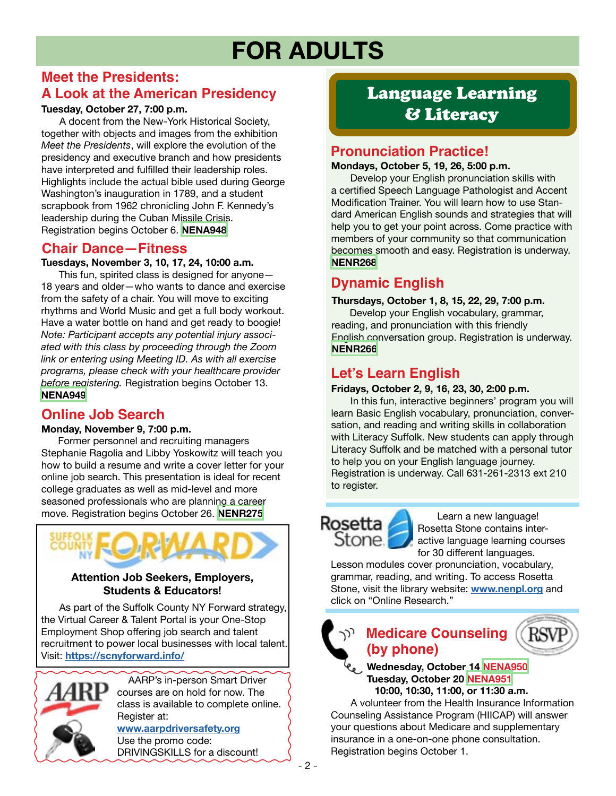## **FOR ADULTS**

## **Meet the Presidents: A Look at the American Presidency**

#### **Tuesday, October 27, 7:00 p.m.**

A docent from the New-York Historical Society, together with objects and images from the exhibition *Meet the Presidents*, will explore the evolution of the presidency and executive branch and how presidents have interpreted and fulfilled their leadership roles. Highlights include the actual bible used during George Washington's inauguration in 1789, and a student scrapbook from 1962 chronicling John F. Kennedy's leadership during the Cuban Missile Crisis. Registration begins October 6. **[NENA948](https://search.livebrary.com/record=g1101362~S43)**

### **Chair Dance—Fitness**

**Tuesdays, November 3, 10, 17, 24, 10:00 a.m.**

 This fun, spirited class is designed for anyone— 18 years and older—who wants to dance and exercise from the safety of a chair. You will move to exciting rhythms and World Music and get a full body workout. Have a water bottle on hand and get ready to boogie! *Note: Participant accepts any potential injury associated with this class by proceeding through the Zoom link or entering using Meeting ID. As with all exercise programs, please check with your healthcare provider before registering.* Registration begins October 13. **[NENA949](https://search.livebrary.com/record=g1101363~S43)**

## **Online Job Search**

#### **Monday, November 9, 7:00 p.m.**

 Former personnel and recruiting managers Stephanie Ragolia and Libby Yoskowitz will teach you how to build a resume and write a cover letter for your online job search. This presentation is ideal for recent college graduates as well as mid-level and more seasoned professionals who are planning a career move. Registration begins October 26. **[NENR275](https://search.livebrary.com/record=g1101309~S43)**



#### **Attention Job Seekers, Employers, Students & Educators!**

As part of the Suffolk County NY Forward strategy, the Virtual Career & Talent Portal is your One-Stop Employment Shop offering job search and talent recruitment to power local businesses with local talent. Visit: **<https://scnyforward.info/>**



 AARP's in-person Smart Driver courses are on hold for now. The class is available to complete online. Register at:

**[www.aarpdriversafety.org](https://www.aarpdriversafety.org/)** Use the promo code: DRIVINGSKILLS for a discount!

## Language Learning & Literacy

### **Pronunciation Practice!**

#### **Mondays, October 5, 19, 26, 5:00 p.m.**

 Develop your English pronunciation skills with a certified Speech Language Pathologist and Accent Modification Trainer. You will learn how to use Standard American English sounds and strategies that will help you to get your point across. Come practice with members of your community so that communication becomes smooth and easy. Registration is underway. **[NENR268](https://search.livebrary.com/record=g1100864~S43)**

## **Dynamic English**

#### **Thursdays, October 1, 8, 15, 22, 29, 7:00 p.m.**

Develop your English vocabulary, grammar, reading, and pronunciation with this friendly English conversation group. Registration is underway. **[NENR266](https://search.livebrary.com/record=g1100908~S43)**

## **Let's Learn English**

#### **Fridays, October 2, 9, 16, 23, 30, 2:00 p.m.**

In this fun, interactive beginners' program you will learn Basic English vocabulary, pronunciation, conversation, and reading and writing skills in collaboration with Literacy Suffolk. New students can apply through Literacy Suffolk and be matched with a personal tutor to help you on your English language journey. Registration is underway. Call 631-261-2313 ext 210 to register.

# Rosetta<br>Stone

 Learn a new language! Rosetta Stone contains interactive language learning courses for 30 different languages.

Lesson modules cover pronunciation, vocabulary, grammar, reading, and writing. To access Rosetta Stone, visit the library website: **[www.nenpl.org](http://www.nenpl.org)** and click on "Online Research."

## **Medicare Counseling (by phone)**

#### **Wednesday, October 14 [NENA950](https://search.livebrary.com/record=g1101370~S43) Tuesday, October 20 [NENA951](https://search.livebrary.com/record=g1101371~S43) 10:00, 10:30, 11:00, or 11:30 a.m.**

 A volunteer from the Health Insurance Information Counseling Assistance Program (HIICAP) will answer your questions about Medicare and supplementary insurance in a one-on-one phone consultation. Registration begins October 1.

- 2 -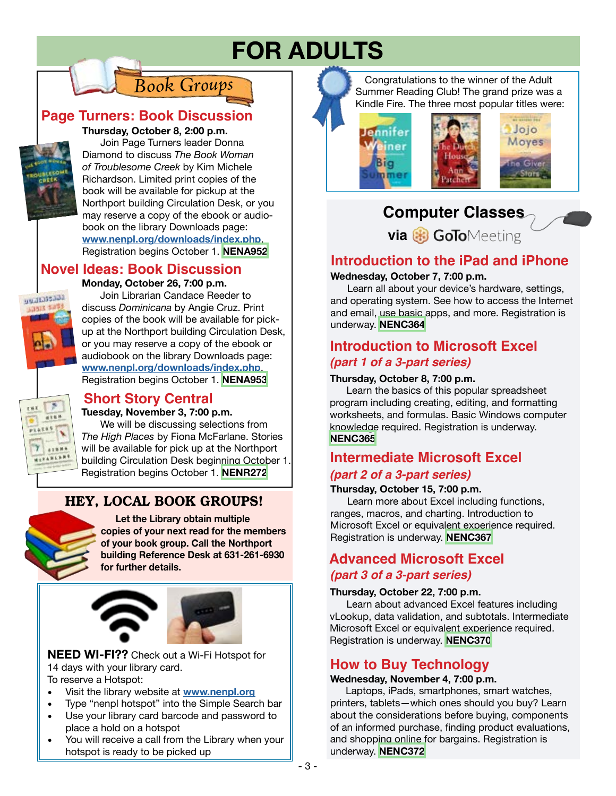## **FOR ADULTS**

## *Book Groups*

## **Page Turners: Book Discussion**



### **Thursday, October 8, 2:00 p.m.**

 Join Page Turners leader Donna Diamond to discuss *The Book Woman of Troublesome Creek* by Kim Michele Richardson. Limited print copies of the book will be available for pickup at the Northport building Circulation Desk, or you may reserve a copy of the ebook or audiobook on the library Downloads page: **[www.nenpl.org/downloads/index.php](http://www.nenpl.org/downloads/index.php)**. Registration begins October 1. **[NENA952](https://search.livebrary.com/record=g1101368~S43)**

#### **Novel Ideas: Book Discussion Monday, October 26, 7:00 p.m.**



**THE** 

 Join Librarian Candace Reeder to discuss *Dominicana* by Angie Cruz. Print copies of the book will be available for pickup at the Northport building Circulation Desk, or you may reserve a copy of the ebook or audiobook on the library Downloads page: **[www.nenpl.org/downloads/index.php](http://www.nenpl.org/downloads/index.php)**. Registration begins October 1. **[NENA953](https://search.livebrary.com/record=g1101369~S43)**

## **Short Story Central**

#### **Tuesday, November 3, 7:00 p.m.**

 We will be discussing selections from *The High Places* by Fiona McFarlane. Stories will be available for pick up at the Northport building Circulation Desk beginning October 1. Registration begins October 1. **[NENR272](https://search.livebrary.com/record=g1101010~S43)**

## HEY, LOCAL BOOK GROUPS!



**A16W ARLAN** 

> **Let the Library obtain multiple copies of your next read for the members of your book group. Call the Northport building Reference Desk at 631-261-6930 for further details.**



**NEED WI-FI??** Check out a Wi-Fi Hotspot for 14 days with your library card. To reserve a Hotspot:

- Visit the library website at **[www.nenpl.org](http://www.nenpl.org)**
- Type "nenpl hotspot" into the Simple Search bar
- Use your library card barcode and password to place a hold on a hotspot
- You will receive a call from the Library when your hotspot is ready to be picked up

 Congratulations to the winner of the Adult Summer Reading Club! The grand prize was a Kindle Fire. The three most popular titles were:



## **Computer Classes**

**via B** GoToMeeting

## **Introduction to the iPad and iPhone**

#### **Wednesday, October 7, 7:00 p.m.**

 Learn all about your device's hardware, settings, and operating system. See how to access the Internet and email, use basic apps, and more. Registration is underway. **[NENC364](https://search.livebrary.com/record=g1082863~S43)**

## **Introduction to Microsoft Excel** *(part 1 of a 3-part series)*

#### **Thursday, October 8, 7:00 p.m.**

 Learn the basics of this popular spreadsheet program including creating, editing, and formatting worksheets, and formulas. Basic Windows computer knowledge required. Registration is underway. **[NENC365](https://search.livebrary.com/record=g1017266~S43)**

## **Intermediate Microsoft Excel** *(part 2 of a 3-part series)*

#### **Thursday, October 15, 7:00 p.m.**

 Learn more about Excel including functions, ranges, macros, and charting. Introduction to Microsoft Excel or equivalent experience required. Registration is underway. **[NENC367](https://search.livebrary.com/record=g1000954~S43)**

## **Advanced Microsoft Excel** *(part 3 of a 3-part series)*

#### **Thursday, October 22, 7:00 p.m.**

 Learn about advanced Excel features including vLookup, data validation, and subtotals. Intermediate Microsoft Excel or equivalent experience required. Registration is underway. **[NENC370](https://search.livebrary.com/record=g1083595~S43)**

## **How to Buy Technology**

#### **Wednesday, November 4, 7:00 p.m.**

 Laptops, iPads, smartphones, smart watches, printers, tablets—which ones should you buy? Learn about the considerations before buying, components of an informed purchase, finding product evaluations, and shopping online for bargains. Registration is underway. **[NENC372](https://search.livebrary.com/record=g1101328~S43)**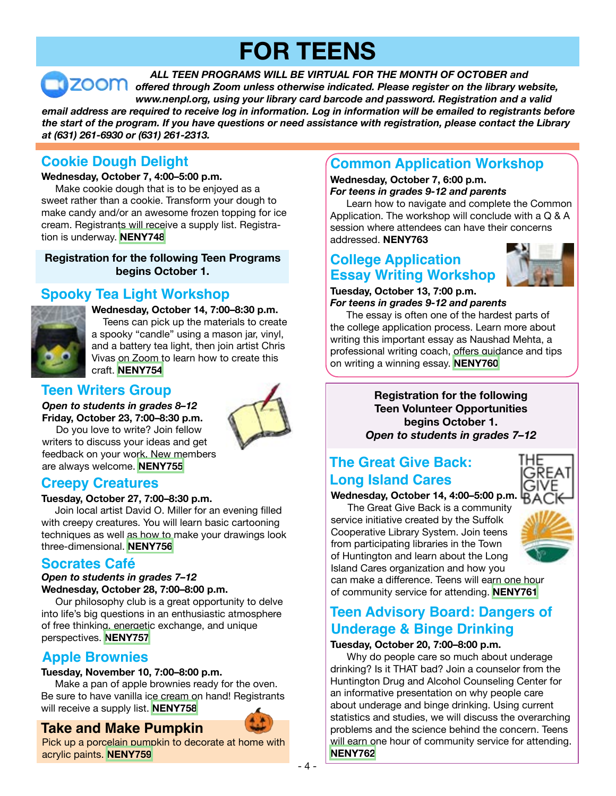## **FOR TEENS**

*ALL TEEN PROGRAMS WILL BE VIRTUAL FOR THE MONTH OF OCTOBER and offered through Zoom unless otherwise indicated. Please register on the library website, www.nenpl.org, using your library card barcode and password. Registration and a valid email address are required to receive log in information. Log in information will be emailed to registrants before the start of the program. If you have questions or need assistance with registration, please contact the Library at (631) 261-6930 or (631) 261-2313.*

## **Cookie Dough Delight**

#### **Wednesday, October 7, 4:00–5:00 p.m.**

 Make cookie dough that is to be enjoyed as a sweet rather than a cookie. Transform your dough to make candy and/or an awesome frozen topping for ice cream. Registrants will receive a supply list. Registration is underway. **[NENY748](https://search.livebrary.com/record=g1100722~S43)**

**Registration for the following Teen Programs begins October 1.**

## **Spooky Tea Light Workshop**



**Wednesday, October 14, 7:00–8:30 p.m.** Teens can pick up the materials to create a spooky "candle" using a mason jar, vinyl, and a battery tea light, then join artist Chris Vivas on Zoom to learn how to create this craft. **[NENY754](https://search.livebrary.com/record=g1101329~S43)**

## **Teen Writers Group**

*Open to students in grades 8–12* **Friday, October 23, 7:00–8:30 p.m.** 



 Do you love to write? Join fellow writers to discuss your ideas and get feedback on your work. New members are always welcome. **[NENY755](https://search.livebrary.com/record=g1101330~S43)**

## **Creepy Creatures**

#### **Tuesday, October 27, 7:00–8:30 p.m.**

Join local artist David O. Miller for an evening filled with creepy creatures. You will learn basic cartooning techniques as well as how to make your drawings look three-dimensional. **[NENY756](https://search.livebrary.com/record=g1101382~S43)**

## **Socrates Café**

#### *Open to students in grades 7–12* **Wednesday, October 28, 7:00–8:00 p.m.**

 Our philosophy club is a great opportunity to delve into life's big questions in an enthusiastic atmosphere of free thinking, energetic exchange, and unique perspectives. **[NENY757](https://search.livebrary.com/record=g1101331~S43)**

## **Apple Brownies**

#### **Tuesday, November 10, 7:00–8:00 p.m.**

 Make a pan of apple brownies ready for the oven. Be sure to have vanilla ice cream on hand! Registrants will receive a supply list. **[NENY758](https://search.livebrary.com/record=g1101384~S43)**

## **Take and Make Pumpkin**



## **Common Application Workshop**

#### **Wednesday, October 7, 6:00 p.m.** *For teens in grades 9-12 and parents*

 Learn how to navigate and complete the Common Application. The workshop will conclude with a Q & A session where attendees can have their concerns addressed. **NENY763**

## **College Application Essay Writing Workshop**

#### **Tuesday, October 13, 7:00 p.m.** *For teens in grades 9-12 and parents*

 The essay is often one of the hardest parts of the college application process. Learn more about writing this important essay as Naushad Mehta, a professional writing coach, offers guidance and tips on writing a winning essay. **[NENY760](https://search.livebrary.com/record=g1101356~S43)**

> **Registration for the following Teen Volunteer Opportunities begins October 1.** *Open to students in grades 7–12*

## **The Great Give Back: Long Island Cares**

**Wednesday, October 14, 4:00–5:00 p.m.** The Great Give Back is a community



service initiative created by the Suffolk Cooperative Library System. Join teens from participating libraries in the Town of Huntington and learn about the Long Island Cares organization and how you

can make a difference. Teens will earn one hour of community service for attending. **[NENY761](https://search.livebrary.com/record=g1101357~S43)**

## **Teen Advisory Board: Dangers of Underage & Binge Drinking**

#### **Tuesday, October 20, 7:00–8:00 p.m.**

Why do people care so much about underage drinking? Is it THAT bad? Join a counselor from the Huntington Drug and Alcohol Counseling Center for an informative presentation on why people care about underage and binge drinking. Using current statistics and studies, we will discuss the overarching problems and the science behind the concern. Teens will earn one hour of community service for attending. **[NENY762](https://search.livebrary.com/record=g1101383~S43)**

- 4 -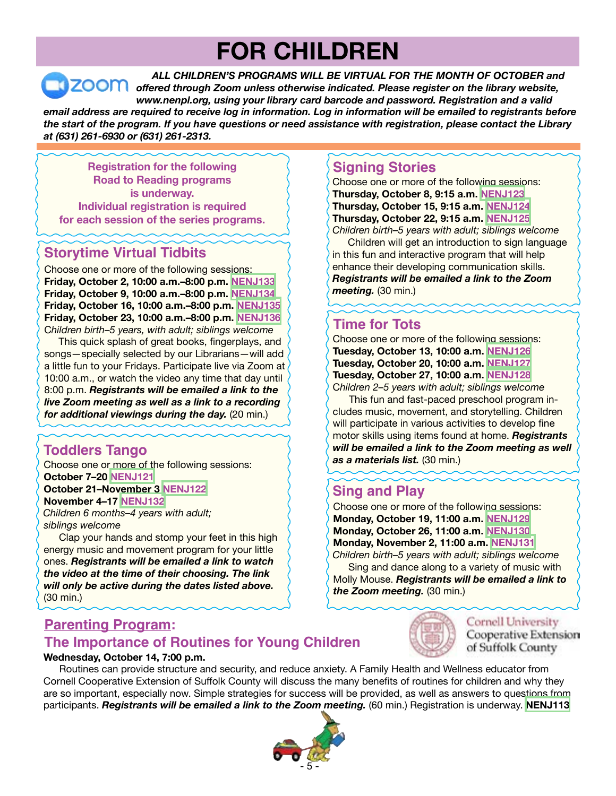## **FOR CHILDREN**

*ALL CHILDREN'S PROGRAMS WILL BE VIRTUAL FOR THE MONTH OF OCTOBER and* **ZOOM** offered through Zoom unless otherwise indicated. Please register on the library website, *www.nenpl.org, using your library card barcode and password. Registration and a valid email address are required to receive log in information. Log in information will be emailed to registrants before the start of the program. If you have questions or need assistance with registration, please contact the Library at (631) 261-6930 or (631) 261-2313.*

**Registration for the following Road to Reading programs is underway. Individual registration is required for each session of the series programs.** 

## **Storytime Virtual Tidbits**

Choose one or more of the following sessions: **Friday, October 2, 10:00 a.m.–8:00 p.m. [NENJ133](https://search.livebrary.com/record=g1100841~S43) Friday, October 9, 10:00 a.m.–8:00 p.m. [NENJ134](https://search.livebrary.com/record=g1100855~S43) Friday, October 16, 10:00 a.m.–8:00 p.m. [NENJ135](https://search.livebrary.com/record=g1100857~S43) Friday, October 23, 10:00 a.m.–8:00 p.m. [NENJ136](https://search.livebrary.com/record=g1100859~S43)** C*hildren birth–5 years, with adult; siblings welcome*

 This quick splash of great books, fingerplays, and songs—specially selected by our Librarians—will add a little fun to your Fridays. Participate live via Zoom at 10:00 a.m., or watch the video any time that day until 8:00 p.m. *Registrants will be emailed a link to the live Zoom meeting as well as a link to a recording for additional viewings during the day.* (20 min.)

## **Toddlers Tango**

Choose one or more of the following sessions: **October 7–20 [NENJ121](https://search.livebrary.com/record=g1100773~S43) October 21–November 3 [NENJ122](https://search.livebrary.com/record=g1100774~S43) November 4–17 [NENJ132](https://search.livebrary.com/record=g1101311~S43)**

*Children 6 months–4 years with adult; siblings welcome*

 Clap your hands and stomp your feet in this high energy music and movement program for your little ones. *Registrants will be emailed a link to watch the video at the time of their choosing. The link will only be active during the dates listed above.* (30 min.)

## **Signing Stories** Choose one or more of the following sessions:

**Thursday, October 8, 9:15 a.m. [NENJ123](https://search.livebrary.com/record=g1100763~S43) Thursday, October 15, 9:15 a.m. [NENJ124](https://search.livebrary.com/record=g1100764~S43) Thursday, October 22, 9:15 a.m. [NENJ125](https://search.livebrary.com/record=g1100765~S43)**

*Children birth–5 years with adult; siblings welcome* Children will get an introduction to sign language in this fun and interactive program that will help enhance their developing communication skills. *Registrants will be emailed a link to the Zoom meeting.* (30 min.)

## **Time for Tots**

Choose one or more of the following sessions: **Tuesday, October 13, 10:00 a.m. [NENJ126](https://search.livebrary.com/record=g1100771~S43) Tuesday, October 20, 10:00 a.m. [NENJ127](https://search.livebrary.com/record=g1100912~S43) Tuesday, October 27, 10:00 a.m. [NENJ128](https://search.livebrary.com/record=g1101131~S43)** C*hildren 2–5 years with adult; siblings welcome*

 This fun and fast-paced preschool program includes music, movement, and storytelling. Children will participate in various activities to develop fine motor skills using items found at home. *Registrants will be emailed a link to the Zoom meeting as well as a materials list.* (30 min.)

## **Sing and Play**

Choose one or more of the following sessions: **Monday, October 19, 11:00 a.m. [NENJ129](https://search.livebrary.com/record=g1100749~S43) Monday, October 26, 11:00 a.m. [NENJ130](https://search.livebrary.com/record=g1100756~S43) Monday, November 2, 11:00 a.m. [NENJ131](https://search.livebrary.com/record=g1100758~S43)**

*Children birth–5 years with adult; siblings welcome* Sing and dance along to a variety of music with

Molly Mouse. *Registrants will be emailed a link to the Zoom meeting.* (30 min.)

> Cornell University Cooperative Extension of Suffolk County

## **Parenting Program:**

## **The Importance of Routines for Young Children**

#### **Wednesday, October 14, 7:00 p.m.**

Routines can provide structure and security, and reduce anxiety. A Family Health and Wellness educator from Cornell Cooperative Extension of Suffolk County will discuss the many benefits of routines for children and why they are so important, especially now. Simple strategies for success will be provided, as well as answers to questions from participants. *Registrants will be emailed a link to the Zoom meeting.* (60 min.) Registration is underway. **[NENJ113](https://search.livebrary.com/record=g1100507~S43)**



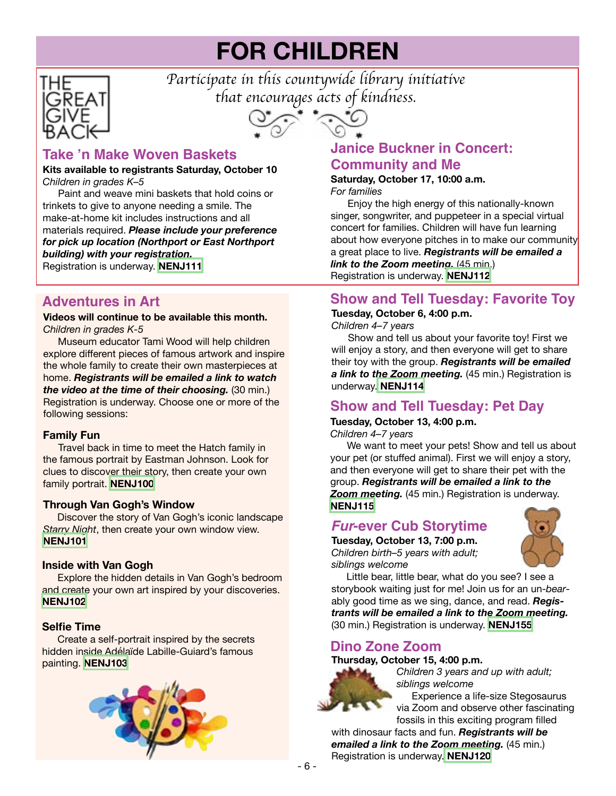## **FOR CHILDREN**



*Participate in this countywide library initiative that encourages acts of kindness.*



## **Take 'n Make Woven Baskets**

#### **Kits available to registrants Saturday, October 10** *Children in grades K–5*

 Paint and weave mini baskets that hold coins or trinkets to give to anyone needing a smile. The make-at-home kit includes instructions and all materials required. *Please include your preference for pick up location (Northport or East Northport building) with your registration.* Registration is underway. **[NENJ111](https://search.livebrary.com/record=g1100525~S43)**

### **Adventures in Art**

#### **Videos will continue to be available this month.** *Children in grades K-5*

Museum educator Tami Wood will help children explore different pieces of famous artwork and inspire the whole family to create their own masterpieces at home. *Registrants will be emailed a link to watch the video at the time of their choosing.* (30 min.) Registration is underway. Choose one or more of the following sessions:

#### **Family Fun**

Travel back in time to meet the Hatch family in the famous portrait by Eastman Johnson. Look for clues to discover their story, then create your own family portrait. **[NENJ100](https://search.livebrary.com/record=g1100510~S43)**

#### **Through Van Gogh's Window**

Discover the story of Van Gogh's iconic landscape *Starry Night*, then create your own window view. **[NENJ101](https://search.livebrary.com/record=g1100531~S43)**

#### **Inside with Van Gogh**

**Explore the hidden details in Van Gogh's bedroom** and create your own art inspired by your discoveries. **[NENJ102](https://search.livebrary.com/record=g1100532~S43)**

#### **Selfie Time**

Create a self-portrait inspired by the secrets hidden inside Adélaïde Labille-Guiard's famous painting. **[NENJ103](https://search.livebrary.com/record=g1100533~S43)**



## **Janice Buckner in Concert: Community and Me**

#### **Saturday, October 17, 10:00 a.m.** *For families*

 Enjoy the high energy of this nationally-known singer, songwriter, and puppeteer in a special virtual concert for families. Children will have fun learning about how everyone pitches in to make our community a great place to live. *Registrants will be emailed a link to the Zoom meeting.* (45 min.) Registration is underway. **[NENJ112](https://search.livebrary.com/record=g1100523~S43)**

#### **Show and Tell Tuesday: Favorite Toy**

#### **Tuesday, October 6, 4:00 p.m.**

*Children 4–7 years*

 Show and tell us about your favorite toy! First we will enjoy a story, and then everyone will get to share their toy with the group. *Registrants will be emailed a link to the Zoom meeting.* (45 min.) Registration is underway. **[NENJ114](https://search.livebrary.com/record=g1100516~S43)**

## **Show and Tell Tuesday: Pet Day**

**Tuesday, October 13, 4:00 p.m.** *Children 4–7 years*

 We want to meet your pets! Show and tell us about your pet (or stuffed animal). First we will enjoy a story, and then everyone will get to share their pet with the group. *Registrants will be emailed a link to the Zoom meeting.* (45 min.) Registration is underway. **[NENJ115](https://search.livebrary.com/record=g1100517~S43)**

## *Fur***-ever Cub Storytime**

**Tuesday, October 13, 7:00 p.m.** *Children birth–5 years with adult; siblings welcome*



Little bear, little bear, what do you see? I see a storybook waiting just for me! Join us for an un-*bear*ably good time as we sing, dance, and read. *Registrants will be emailed a link to the Zoom meeting.* (30 min.) Registration is underway. **[NENJ155](https://search.livebrary.com/record=g1101322~S43)**

## **Dino Zone Zoom**

#### **Thursday, October 15, 4:00 p.m.**



*Children 3 years and up with adult; siblings welcome*

**Experience a life-size Stegosaurus** via Zoom and observe other fascinating fossils in this exciting program filled

with dinosaur facts and fun. *Registrants will be emailed a link to the Zoom meeting.* (45 min.) Registration is underway. **[NENJ120](https://search.livebrary.com/record=g1101138~S43)**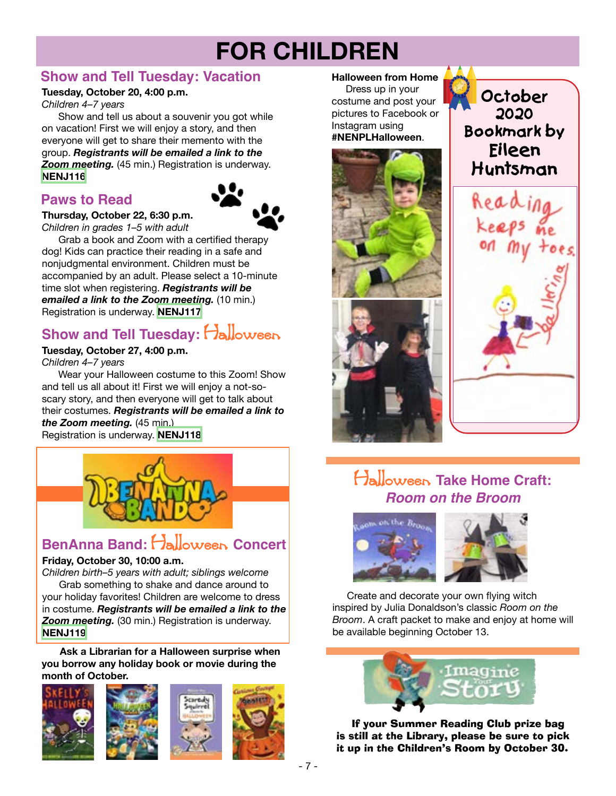## **FOR CHILDREN**

## **Show and Tell Tuesday: Vacation**

#### **Tuesday, October 20, 4:00 p.m.**

*Children 4–7 years*

 Show and tell us about a souvenir you got while on vacation! First we will enjoy a story, and then everyone will get to share their memento with the group. *Registrants will be emailed a link to the Zoom meeting.* (45 min.) Registration is underway. **[NENJ116](https://search.livebrary.com/record=g1100518~S43)**

## **Paws to Read**



 Grab a book and Zoom with a certified therapy dog! Kids can practice their reading in a safe and nonjudgmental environment. Children must be accompanied by an adult. Please select a 10-minute time slot when registering. *Registrants will be emailed a link to the Zoom meeting.* (10 min.)

## **Show and Tell Tuesday: Halloween**

#### **Tuesday, October 27, 4:00 p.m.**

Registration is underway. **[NENJ117](https://search.livebrary.com/record=g1100788~S43)**

*Children 4–7 years*

 Wear your Halloween costume to this Zoom! Show and tell us all about it! First we will enjoy a not-soscary story, and then everyone will get to talk about their costumes. *Registrants will be emailed a link to the Zoom meeting.* (45 min.) Registration is underway. **[NENJ118](https://search.livebrary.com/record=g1100520~S43)**



## **BenAnna Band:** Halloween **Concert**

#### **Friday, October 30, 10:00 a.m.**

*Children birth–5 years with adult; siblings welcome* Grab something to shake and dance around to your holiday favorites! Children are welcome to dress

in costume. *Registrants will be emailed a link to the Zoom meeting.* (30 min.) Registration is underway. **[NENJ119](https://search.livebrary.com/record=g1101319~S43)**

**Ask a Librarian for a Halloween surprise when you borrow any holiday book or movie during the month of October.**



#### **Halloween from Home**

Dress up in your costume and post your pictures to Facebook or Instagram using **#NENPLHalloween**.



**October 2020 Bookmark by Eileen Huntsman**



## Halloween **Take Home Craft:** *Room on the Broom*



Create and decorate your own flying witch inspired by Julia Donaldson's classic *Room on the Broom*. A craft packet to make and enjoy at home will be available beginning October 13.



If your Summer Reading Club prize bag is still at the Library, please be sure to pick it up in the Children's Room by October 30.